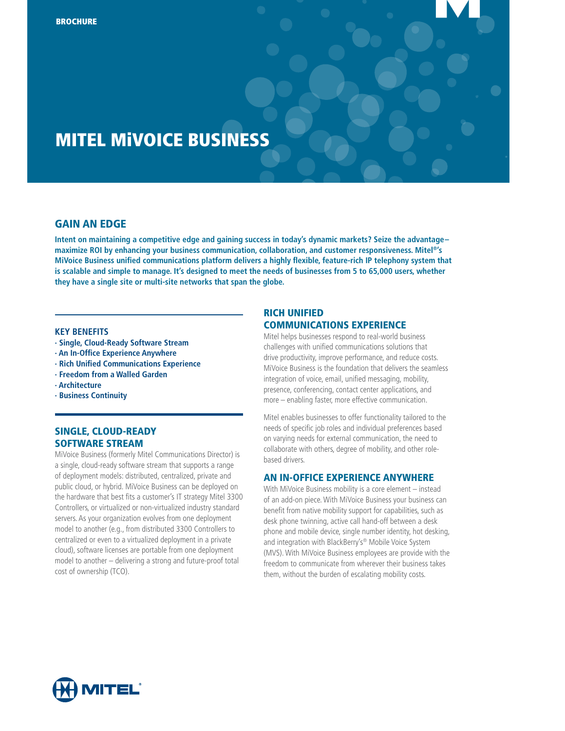# MITEL MiVOICE BUSINESS

# **GAIN AN EDGE**

**Intent on maintaining a competitive edge and gaining success in today's dynamic markets? Seize the advantage– maximize ROI by enhancing your business communication, collaboration, and customer responsiveness. Mitel®'s MiVoice Business unified communications platform delivers a highly flexible, feature-rich IP telephony system that is scalable and simple to manage. It's designed to meet the needs of businesses from 5 to 65,000 users, whether they have a single site or multi-site networks that span the globe.** 

#### **KEY BENEFITS**

- **· Single, Cloud-Ready Software Stream**
- **· An In-Office Experience Anywhere**
- **· Rich Unified Communications Experience**
- **· Freedom from a Walled Garden**
- **· Architecture**
- **· Business Continuity**

# Single, Cloud-Ready Software Stream

MiVoice Business (formerly Mitel Communications Director) is a single, cloud-ready software stream that supports a range of deployment models: distributed, centralized, private and public cloud, or hybrid. MiVoice Business can be deployed on the hardware that best fits a customer's IT strategy Mitel 3300 Controllers, or virtualized or non-virtualized industry standard servers. As your organization evolves from one deployment model to another (e.g., from distributed 3300 Controllers to centralized or even to a virtualized deployment in a private cloud), software licenses are portable from one deployment model to another – delivering a strong and future-proof total cost of ownership (TCO).

### Rich Unified Communications Experience

Mitel helps businesses respond to real-world business challenges with unified communications solutions that drive productivity, improve performance, and reduce costs. MiVoice Business is the foundation that delivers the seamless integration of voice, email, unified messaging, mobility, presence, conferencing, contact center applications, and more – enabling faster, more effective communication.

Mitel enables businesses to offer functionality tailored to the needs of specific job roles and individual preferences based on varying needs for external communication, the need to collaborate with others, degree of mobility, and other rolebased drivers.

### An In-Office Experience Anywhere

With MiVoice Business mobility is a core element – instead of an add-on piece. With MiVoice Business your business can benefit from native mobility support for capabilities, such as desk phone twinning, active call hand-off between a desk phone and mobile device, single number identity, hot desking, and integration with BlackBerry's® Mobile Voice System (MVS). With MiVoice Business employees are provide with the freedom to communicate from wherever their business takes them, without the burden of escalating mobility costs.

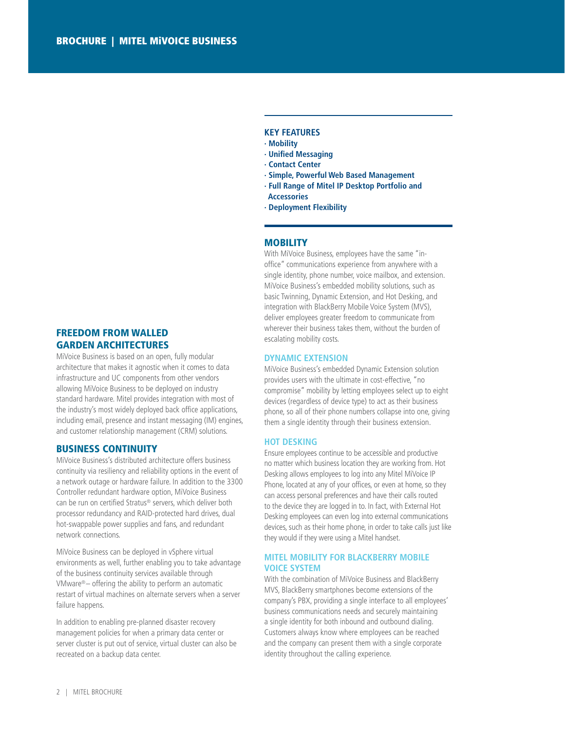# Freedom from Walled Garden Architectures

MiVoice Business is based on an open, fully modular architecture that makes it agnostic when it comes to data infrastructure and UC components from other vendors allowing MiVoice Business to be deployed on industry standard hardware. Mitel provides integration with most of the industry's most widely deployed back office applications, including email, presence and instant messaging (IM) engines, and customer relationship management (CRM) solutions.

### Business Continuity

MiVoice Business's distributed architecture offers business continuity via resiliency and reliability options in the event of a network outage or hardware failure. In addition to the 3300 Controller redundant hardware option, MiVoice Business can be run on certified Stratus® servers, which deliver both processor redundancy and RAID-protected hard drives, dual hot-swappable power supplies and fans, and redundant network connections.

MiVoice Business can be deployed in vSphere virtual environments as well, further enabling you to take advantage of the business continuity services available through VMware®– offering the ability to perform an automatic restart of virtual machines on alternate servers when a server failure happens.

In addition to enabling pre-planned disaster recovery management policies for when a primary data center or server cluster is put out of service, virtual cluster can also be recreated on a backup data center.

# **KEY features**

- **· Mobility**
- **· Unified Messaging**
- **· Contact Center**
- **· Simple, Powerful Web Based Management**
- **· Full Range of Mitel IP Desktop Portfolio and Accessories**
- **· Deployment Flexibility**

### **MOBILITY**

With MiVoice Business, employees have the same "inoffice" communications experience from anywhere with a single identity, phone number, voice mailbox, and extension. MiVoice Business's embedded mobility solutions, such as basic Twinning, Dynamic Extension, and Hot Desking, and integration with BlackBerry Mobile Voice System (MVS), deliver employees greater freedom to communicate from wherever their business takes them, without the burden of escalating mobility costs.

#### **Dynamic Extension**

MiVoice Business's embedded Dynamic Extension solution provides users with the ultimate in cost-effective, "no compromise" mobility by letting employees select up to eight devices (regardless of device type) to act as their business phone, so all of their phone numbers collapse into one, giving them a single identity through their business extension.

#### **Hot Desking**

Ensure employees continue to be accessible and productive no matter which business location they are working from. Hot Desking allows employees to log into any Mitel MiVoice IP Phone, located at any of your offices, or even at home, so they can access personal preferences and have their calls routed to the device they are logged in to. In fact, with External Hot Desking employees can even log into external communications devices, such as their home phone, in order to take calls just like they would if they were using a Mitel handset.

### **Mitel Mobility for Blackberry Mobile Voice System**

With the combination of MiVoice Business and BlackBerry MVS, BlackBerry smartphones become extensions of the company's PBX, providing a single interface to all employees' business communications needs and securely maintaining a single identity for both inbound and outbound dialing. Customers always know where employees can be reached and the company can present them with a single corporate identity throughout the calling experience.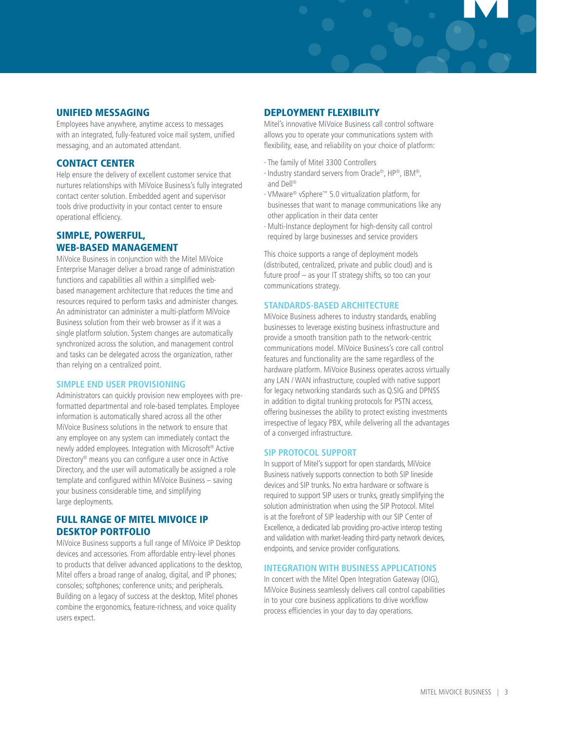### Unified Messaging

Employees have anywhere, anytime access to messages with an integrated, fully-featured voice mail system, unified messaging, and an automated attendant.

### **CONTACT CENTER**

Help ensure the delivery of excellent customer service that nurtures relationships with MiVoice Business's fully integrated contact center solution. Embedded agent and supervisor tools drive productivity in your contact center to ensure operational efficiency.

# Simple, Powerful, Web-Based Management

MiVoice Business in conjunction with the Mitel MiVoice Enterprise Manager deliver a broad range of administration functions and capabilities all within a simplified webbased management architecture that reduces the time and resources required to perform tasks and administer changes. An administrator can administer a multi-platform MiVoice Business solution from their web browser as if it was a single platform solution. System changes are automatically synchronized across the solution, and management control and tasks can be delegated across the organization, rather than relying on a centralized point.

#### **Simple End User Provisioning**

Administrators can quickly provision new employees with preformatted departmental and role-based templates. Employee information is automatically shared across all the other MiVoice Business solutions in the network to ensure that any employee on any system can immediately contact the newly added employees. Integration with Microsoft® Active Directory® means you can configure a user once in Active Directory, and the user will automatically be assigned a role template and configured within MiVoice Business – saving your business considerable time, and simplifying large deployments.

# Full Range of Mitel MiVoice IP Desktop Portfolio

MiVoice Business supports a full range of MiVoice IP Desktop devices and accessories. From affordable entry-level phones to products that deliver advanced applications to the desktop, Mitel offers a broad range of analog, digital, and IP phones; consoles; softphones; conference units; and peripherals. Building on a legacy of success at the desktop, Mitel phones combine the ergonomics, feature-richness, and voice quality users expect.

# Deployment Flexibility

Mitel's innovative MiVoice Business call control software allows you to operate your communications system with flexibility, ease, and reliability on your choice of platform:

- · The family of Mitel 3300 Controllers
- · Industry standard servers from Oracle®, HP®, IBM®, and Dell®
- · VMware® vSphere™ 5.0 virtualization platform, for businesses that want to manage communications like any other application in their data center
- · Multi-Instance deployment for high-density call control required by large businesses and service providers

This choice supports a range of deployment models (distributed, centralized, private and public cloud) and is future proof – as your IT strategy shifts, so too can your communications strategy.

# **Standards-Based Architecture**

MiVoice Business adheres to industry standards, enabling businesses to leverage existing business infrastructure and provide a smooth transition path to the network-centric communications model. MiVoice Business's core call control features and functionality are the same regardless of the hardware platform. MiVoice Business operates across virtually any LAN / WAN infrastructure, coupled with native support for legacy networking standards such as Q.SIG and DPNSS in addition to digital trunking protocols for PSTN access, offering businesses the ability to protect existing investments irrespective of legacy PBX, while delivering all the advantages of a converged infrastructure.

#### **SIP Protocol Support**

In support of Mitel's support for open standards, MiVoice Business natively supports connection to both SIP lineside devices and SIP trunks. No extra hardware or software is required to support SIP users or trunks, greatly simplifying the solution administration when using the SIP Protocol. Mitel is at the forefront of SIP leadership with our SIP Center of Excellence, a dedicated lab providing pro-active interop testing and validation with market-leading third-party network devices, endpoints, and service provider configurations.

#### **Integration with Business Applications**

In concert with the Mitel Open Integration Gateway (OIG), MiVoice Business seamlessly delivers call control capabilities in to your core business applications to drive workflow process efficiencies in your day to day operations.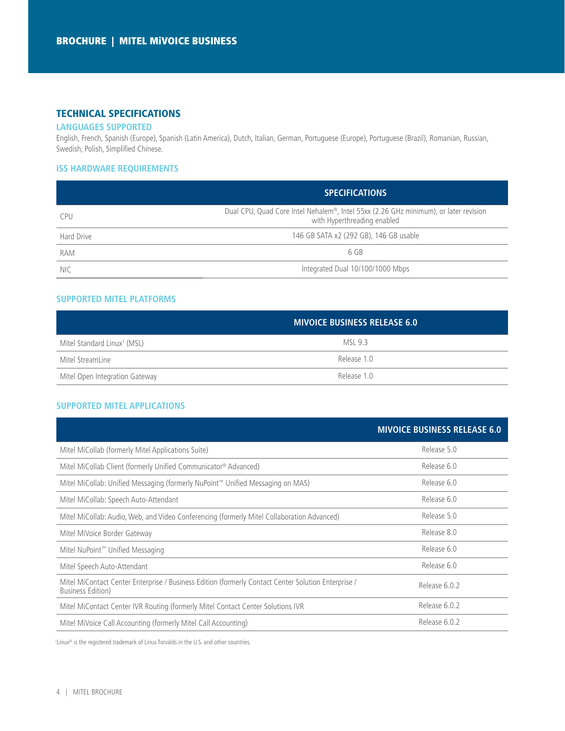# Technical Specifications

### **Languages Supported**

English, French, Spanish (Europe), Spanish (Latin America), Dutch, Italian, German, Portuguese (Europe), Portuguese (Brazil), Romanian, Russian, Swedish, Polish, Simplified Chinese.

# **ISS Hardware Requirements**

|            | <b>SPECIFICATIONS</b>                                                                                               |  |  |
|------------|---------------------------------------------------------------------------------------------------------------------|--|--|
| <b>CPU</b> | Dual CPU, Quad Core Intel Nehalem®, Intel 55xx (2.26 GHz minimum), or later revision<br>with Hyperthreading enabled |  |  |
| Hard Drive | 146 GB SATA x2 (292 GB), 146 GB usable                                                                              |  |  |
| <b>RAM</b> | 6 GB                                                                                                                |  |  |
| <b>NIC</b> | Integrated Dual 10/100/1000 Mbps                                                                                    |  |  |

# **Supported Mitel Platforms**

|                                         | <b>MIVOICE BUSINESS RELEASE 6.0</b> |  |  |
|-----------------------------------------|-------------------------------------|--|--|
| Mitel Standard Linux <sup>1</sup> (MSL) | MSI 9.3                             |  |  |
| Mitel StreamLine                        | Release 1.0                         |  |  |
| Mitel Open Integration Gateway          | Release 1.0                         |  |  |

# **Supported Mitel Applications**

|                                                                                                                                  | <b>MIVOICE BUSINESS RELEASE 6.0</b> |
|----------------------------------------------------------------------------------------------------------------------------------|-------------------------------------|
| Mitel MiCollab (formerly Mitel Applications Suite)                                                                               | Release 5.0                         |
| Mitel MiCollab Client (formerly Unified Communicator® Advanced)                                                                  | Release 6.0                         |
| Mitel MiCollab: Unified Messaging (formerly NuPoint™ Unified Messaging on MAS)                                                   | Release 6.0                         |
| Mitel MiCollab: Speech Auto-Attendant                                                                                            | Release 6.0                         |
| Mitel MiCollab: Audio, Web, and Video Conferencing (formerly Mitel Collaboration Advanced)                                       | Release 5.0                         |
| Mitel MiVoice Border Gateway                                                                                                     | Release 8.0                         |
| Mitel NuPoint™ Unified Messaging                                                                                                 | Release 6.0                         |
| Mitel Speech Auto-Attendant                                                                                                      | Release 6.0                         |
| Mitel MiContact Center Enterprise / Business Edition (formerly Contact Center Solution Enterprise /<br><b>Business Edition</b> ) | Release 6.0.2                       |
| Mitel MiContact Center IVR Routing (formerly Mitel Contact Center Solutions IVR                                                  | Release 6.0.2                       |
| Mitel MiVoice Call Accounting (formerly Mitel Call Accounting)                                                                   | Release 6.0.2                       |

1 Linux® is the registered trademark of Linus Torvalds in the U.S. and other countries.